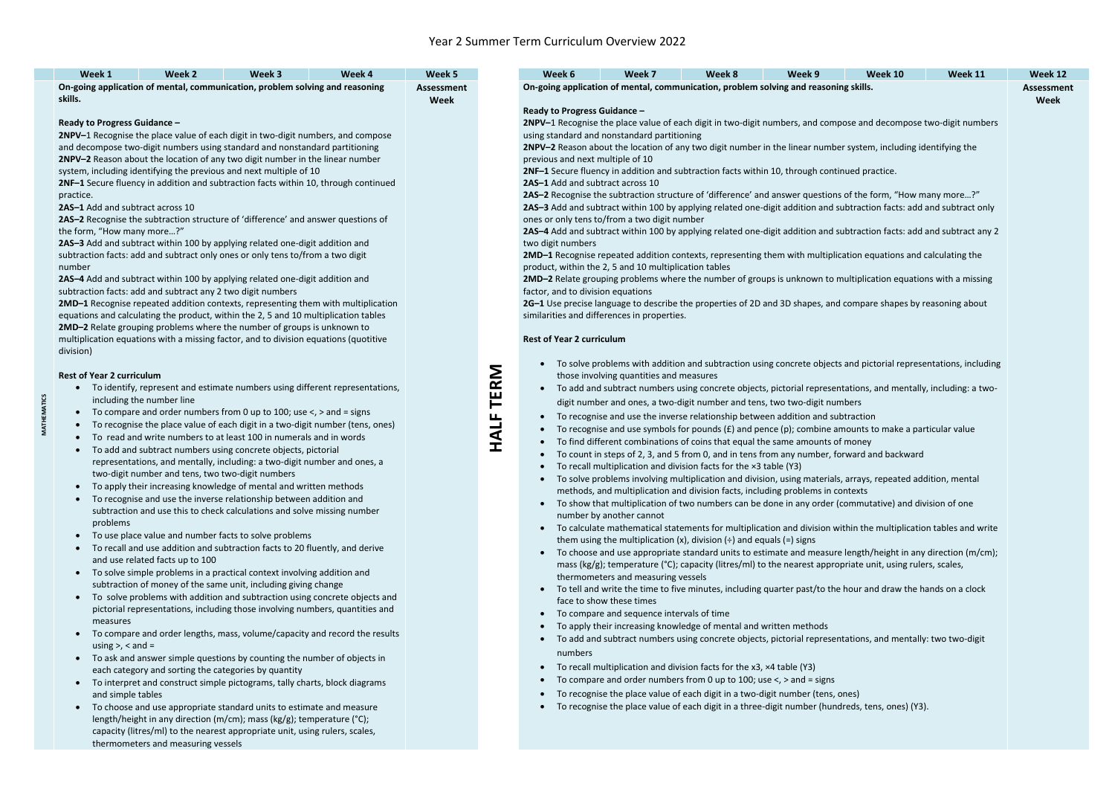**MATHEMATICS**

**MATHEMATICS** 

capacity (litres/ml) to the nearest appropriate unit, using rulers, scales, thermometers and measuring vessels

- 
- 

| Week 1                                                                                                                                                                                                                                                                                                                                                                                                                                                                                                                                                                                                                                                                                                                                                                                                                                                                                                                                                                                                                                                                                                                   | Week 2                                                                                                                                                                   | Week 3                                                                                                                                                                                                                                                                                                                                                                                                                                                                                                                                                                                                                                                                                                                                                                                                                                                                                                                                                                                                                                                                                                                                                                                                                                                                                                                                                                              | Week 4 | Week 5                           |                                                                                                                                                                                                                                                                                                                                                                                                                                                                                                                                                                                                                                                                                                                                                                                                                                                                                                                                                                                                                                                                                                                                                                                                                                                                                                                                                                                                                                           | Week 6                            | Week 7                                                                                                                                                                                                                                                                                                                                                                                                                                                                                                                                                                                                                                                                                                                                                                                                                                                                                                                                                                                                                                                                                                                                                                                                                                                                                                                                                                                                                                                                                                                                                                                                                                                                                                                                                                                                                                                                                                                                                                                                                                                                                                                                                                                                                                                   | Week 8 | Week 9 | Week 10 | <b>Week 11</b> | <b>Week 12</b>            |
|--------------------------------------------------------------------------------------------------------------------------------------------------------------------------------------------------------------------------------------------------------------------------------------------------------------------------------------------------------------------------------------------------------------------------------------------------------------------------------------------------------------------------------------------------------------------------------------------------------------------------------------------------------------------------------------------------------------------------------------------------------------------------------------------------------------------------------------------------------------------------------------------------------------------------------------------------------------------------------------------------------------------------------------------------------------------------------------------------------------------------|--------------------------------------------------------------------------------------------------------------------------------------------------------------------------|-------------------------------------------------------------------------------------------------------------------------------------------------------------------------------------------------------------------------------------------------------------------------------------------------------------------------------------------------------------------------------------------------------------------------------------------------------------------------------------------------------------------------------------------------------------------------------------------------------------------------------------------------------------------------------------------------------------------------------------------------------------------------------------------------------------------------------------------------------------------------------------------------------------------------------------------------------------------------------------------------------------------------------------------------------------------------------------------------------------------------------------------------------------------------------------------------------------------------------------------------------------------------------------------------------------------------------------------------------------------------------------|--------|----------------------------------|-------------------------------------------------------------------------------------------------------------------------------------------------------------------------------------------------------------------------------------------------------------------------------------------------------------------------------------------------------------------------------------------------------------------------------------------------------------------------------------------------------------------------------------------------------------------------------------------------------------------------------------------------------------------------------------------------------------------------------------------------------------------------------------------------------------------------------------------------------------------------------------------------------------------------------------------------------------------------------------------------------------------------------------------------------------------------------------------------------------------------------------------------------------------------------------------------------------------------------------------------------------------------------------------------------------------------------------------------------------------------------------------------------------------------------------------|-----------------------------------|----------------------------------------------------------------------------------------------------------------------------------------------------------------------------------------------------------------------------------------------------------------------------------------------------------------------------------------------------------------------------------------------------------------------------------------------------------------------------------------------------------------------------------------------------------------------------------------------------------------------------------------------------------------------------------------------------------------------------------------------------------------------------------------------------------------------------------------------------------------------------------------------------------------------------------------------------------------------------------------------------------------------------------------------------------------------------------------------------------------------------------------------------------------------------------------------------------------------------------------------------------------------------------------------------------------------------------------------------------------------------------------------------------------------------------------------------------------------------------------------------------------------------------------------------------------------------------------------------------------------------------------------------------------------------------------------------------------------------------------------------------------------------------------------------------------------------------------------------------------------------------------------------------------------------------------------------------------------------------------------------------------------------------------------------------------------------------------------------------------------------------------------------------------------------------------------------------------------------------------------------------|--------|--------|---------|----------------|---------------------------|
| skills.                                                                                                                                                                                                                                                                                                                                                                                                                                                                                                                                                                                                                                                                                                                                                                                                                                                                                                                                                                                                                                                                                                                  |                                                                                                                                                                          | On-going application of mental, communication, problem solving and reasoning                                                                                                                                                                                                                                                                                                                                                                                                                                                                                                                                                                                                                                                                                                                                                                                                                                                                                                                                                                                                                                                                                                                                                                                                                                                                                                        |        | <b>Assessment</b><br><b>Week</b> |                                                                                                                                                                                                                                                                                                                                                                                                                                                                                                                                                                                                                                                                                                                                                                                                                                                                                                                                                                                                                                                                                                                                                                                                                                                                                                                                                                                                                                           |                                   | On-going application of mental, communication, problem solving and reasoning skills.                                                                                                                                                                                                                                                                                                                                                                                                                                                                                                                                                                                                                                                                                                                                                                                                                                                                                                                                                                                                                                                                                                                                                                                                                                                                                                                                                                                                                                                                                                                                                                                                                                                                                                                                                                                                                                                                                                                                                                                                                                                                                                                                                                     |        |        |         |                | <b>Assessment</b><br>Week |
| Ready to Progress Guidance -<br>2NPV-1 Recognise the place value of each digit in two-digit numbers, and compose<br>and decompose two-digit numbers using standard and nonstandard partitioning<br>2NPV-2 Reason about the location of any two digit number in the linear number<br>system, including identifying the previous and next multiple of 10<br>2NF-1 Secure fluency in addition and subtraction facts within 10, through continued<br>practice.<br>2AS-1 Add and subtract across 10<br>2AS-2 Recognise the subtraction structure of 'difference' and answer questions of<br>the form, "How many more?"<br>2AS-3 Add and subtract within 100 by applying related one-digit addition and<br>subtraction facts: add and subtract only ones or only tens to/from a two digit<br>number<br>2AS-4 Add and subtract within 100 by applying related one-digit addition and<br>subtraction facts: add and subtract any 2 two digit numbers<br>2MD-1 Recognise repeated addition contexts, representing them with multiplication<br>equations and calculating the product, within the 2, 5 and 10 multiplication tables |                                                                                                                                                                          |                                                                                                                                                                                                                                                                                                                                                                                                                                                                                                                                                                                                                                                                                                                                                                                                                                                                                                                                                                                                                                                                                                                                                                                                                                                                                                                                                                                     |        |                                  | Ready to Progress Guidance -<br>2NPV-1 Recognise the place value of each digit in two-digit numbers, and compose and decompose two-digit numbers<br>using standard and nonstandard partitioning<br>2NPV-2 Reason about the location of any two digit number in the linear number system, including identifying the<br>previous and next multiple of 10<br>2NF-1 Secure fluency in addition and subtraction facts within 10, through continued practice.<br>2AS-1 Add and subtract across 10<br>2AS-2 Recognise the subtraction structure of 'difference' and answer questions of the form, "How many more?"<br>2AS-3 Add and subtract within 100 by applying related one-digit addition and subtraction facts: add and subtract only<br>ones or only tens to/from a two digit number<br>2AS-4 Add and subtract within 100 by applying related one-digit addition and subtraction facts: add and subtract any 2<br>two digit numbers<br>2MD-1 Recognise repeated addition contexts, representing them with multiplication equations and calculating the<br>product, within the 2, 5 and 10 multiplication tables<br>2MD-2 Relate grouping problems where the number of groups is unknown to multiplication equations with a missing<br>factor, and to division equations<br>2G-1 Use precise language to describe the properties of 2D and 3D shapes, and compare shapes by reasoning about<br>similarities and differences in properties. |                                   |                                                                                                                                                                                                                                                                                                                                                                                                                                                                                                                                                                                                                                                                                                                                                                                                                                                                                                                                                                                                                                                                                                                                                                                                                                                                                                                                                                                                                                                                                                                                                                                                                                                                                                                                                                                                                                                                                                                                                                                                                                                                                                                                                                                                                                                          |        |        |         |                |                           |
| 2MD-2 Relate grouping problems where the number of groups is unknown to<br>multiplication equations with a missing factor, and to division equations (quotitive<br>division)                                                                                                                                                                                                                                                                                                                                                                                                                                                                                                                                                                                                                                                                                                                                                                                                                                                                                                                                             |                                                                                                                                                                          |                                                                                                                                                                                                                                                                                                                                                                                                                                                                                                                                                                                                                                                                                                                                                                                                                                                                                                                                                                                                                                                                                                                                                                                                                                                                                                                                                                                     |        |                                  | <b>Rest of Year 2 curriculum</b>                                                                                                                                                                                                                                                                                                                                                                                                                                                                                                                                                                                                                                                                                                                                                                                                                                                                                                                                                                                                                                                                                                                                                                                                                                                                                                                                                                                                          |                                   |                                                                                                                                                                                                                                                                                                                                                                                                                                                                                                                                                                                                                                                                                                                                                                                                                                                                                                                                                                                                                                                                                                                                                                                                                                                                                                                                                                                                                                                                                                                                                                                                                                                                                                                                                                                                                                                                                                                                                                                                                                                                                                                                                                                                                                                          |        |        |         |                |                           |
| <b>Rest of Year 2 curriculum</b><br>$\bullet$<br>$\bullet$<br>$\bullet$<br>problems<br>$\bullet$<br>measures<br>using $>$ , $<$ and $=$<br>and simple tables                                                                                                                                                                                                                                                                                                                                                                                                                                                                                                                                                                                                                                                                                                                                                                                                                                                                                                                                                             | including the number line<br>two-digit number and tens, two two-digit numbers<br>and use related facts up to 100<br>each category and sorting the categories by quantity | • To identify, represent and estimate numbers using different representations,<br>To compare and order numbers from 0 up to 100; use $\lt$ , $>$ and = signs<br>To recognise the place value of each digit in a two-digit number (tens, ones)<br>To read and write numbers to at least 100 in numerals and in words<br>To add and subtract numbers using concrete objects, pictorial<br>representations, and mentally, including: a two-digit number and ones, a<br>To apply their increasing knowledge of mental and written methods<br>• To recognise and use the inverse relationship between addition and<br>subtraction and use this to check calculations and solve missing number<br>To use place value and number facts to solve problems<br>To recall and use addition and subtraction facts to 20 fluently, and derive<br>To solve simple problems in a practical context involving addition and<br>subtraction of money of the same unit, including giving change<br>To solve problems with addition and subtraction using concrete objects and<br>pictorial representations, including those involving numbers, quantities and<br>• To compare and order lengths, mass, volume/capacity and record the results<br>To ask and answer simple questions by counting the number of objects in<br>To interpret and construct simple pictograms, tally charts, block diagrams |        |                                  | <b>TERM</b><br><b>HALF</b>                                                                                                                                                                                                                                                                                                                                                                                                                                                                                                                                                                                                                                                                                                                                                                                                                                                                                                                                                                                                                                                                                                                                                                                                                                                                                                                                                                                                                | $\bullet$<br>$\bullet$<br>numbers | To solve problems with addition and subtraction using concrete objects and pictorial representations, including<br>those involving quantities and measures<br>To add and subtract numbers using concrete objects, pictorial representations, and mentally, including: a two-<br>digit number and ones, a two-digit number and tens, two two-digit numbers<br>To recognise and use the inverse relationship between addition and subtraction<br>To recognise and use symbols for pounds $(f)$ and pence $(p)$ ; combine amounts to make a particular value<br>To find different combinations of coins that equal the same amounts of money<br>To count in steps of 2, 3, and 5 from 0, and in tens from any number, forward and backward<br>To recall multiplication and division facts for the x3 table (Y3)<br>To solve problems involving multiplication and division, using materials, arrays, repeated addition, mental<br>methods, and multiplication and division facts, including problems in contexts<br>• To show that multiplication of two numbers can be done in any order (commutative) and division of one<br>number by another cannot<br>To calculate mathematical statements for multiplication and division within the multiplication tables and write<br>them using the multiplication (x), division $(\div)$ and equals (=) signs<br>To choose and use appropriate standard units to estimate and measure length/height in any direction (m/cm);<br>mass (kg/g); temperature ( $^{\circ}$ C); capacity (litres/ml) to the nearest appropriate unit, using rulers, scales,<br>thermometers and measuring vessels<br>• To tell and write the time to five minutes, including quarter past/to the hour and draw the hands on a clock<br>face to show these times<br>To compare and sequence intervals of time<br>To apply their increasing knowledge of mental and written methods<br>To add and subtract numbers using concrete objects, pictorial representations, and mentally: two two-digit<br>To recall multiplication and division facts for the x3, x4 table (Y3)<br>To compare and order numbers from 0 up to 100; use $\lt$ , $>$ and = signs<br>To recognise the place value of each digit in a two-digit number (tens, ones) |        |        |         |                |                           |
|                                                                                                                                                                                                                                                                                                                                                                                                                                                                                                                                                                                                                                                                                                                                                                                                                                                                                                                                                                                                                                                                                                                          |                                                                                                                                                                          | • To choose and use appropriate standard units to estimate and measure<br>length/height in any direction (m/cm); mass (kg/g); temperature (°C);                                                                                                                                                                                                                                                                                                                                                                                                                                                                                                                                                                                                                                                                                                                                                                                                                                                                                                                                                                                                                                                                                                                                                                                                                                     |        |                                  |                                                                                                                                                                                                                                                                                                                                                                                                                                                                                                                                                                                                                                                                                                                                                                                                                                                                                                                                                                                                                                                                                                                                                                                                                                                                                                                                                                                                                                           |                                   | To recognise the place value of each digit in a three-digit number (hundreds, tens, ones) (Y3).                                                                                                                                                                                                                                                                                                                                                                                                                                                                                                                                                                                                                                                                                                                                                                                                                                                                                                                                                                                                                                                                                                                                                                                                                                                                                                                                                                                                                                                                                                                                                                                                                                                                                                                                                                                                                                                                                                                                                                                                                                                                                                                                                          |        |        |         |                |                           |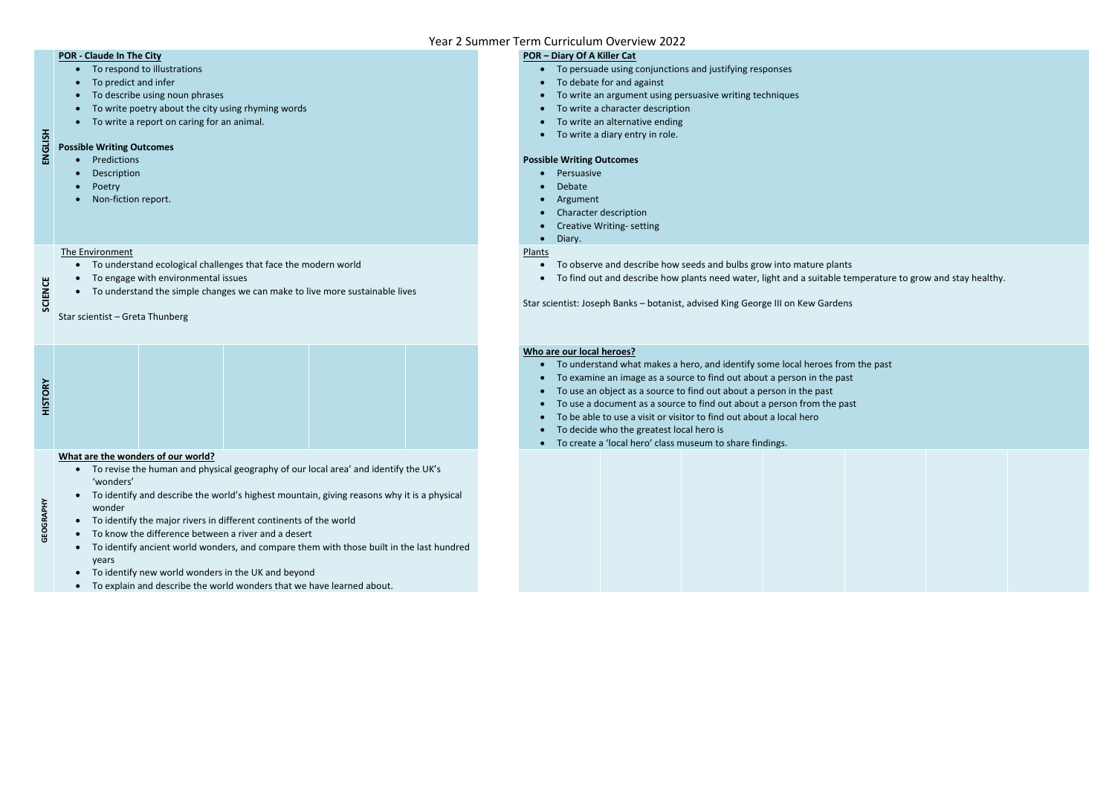#### **POR - Claude In The City**

- To respond to illustrations
- To predict and infer
- To describe using noun phrases
- To write poetry about the city using rhyming words
- To write a report on caring for an animal.

## **ENGLISH Possible Writing Outcomes**

- Predictions
- Description
- Poetry
- Non-fiction report.
- To persuade using conjunctions and justifying responses
- To debate for and against
- To write an argument using persuasive writing techniques
- To write a character description
- To write an alternative ending
- To write a diary entry in role.

#### **POR – Diary Of A Killer Cat**

#### **Possible Writing Outcomes**

- Persuasive
- Debate
- Argument
- Character description
- Creative Writing- setting
- Diary.

# **SCIENCE**

#### The Environment

- To understand ecological challenges that face the modern world
- To engage with environmental issues
- To understand the simple changes we can make to live more sustainable lives

#### Star scientist – Greta Thunberg

#### Plants

- To observe and describe how seeds and bulbs grow into mature plants
- To find out and describe how plants need water, light and a suitable temperature to grow and stay healthy.

Star scientist: Joseph Banks – botanist, advised King George III on Kew Gardens

| $\mathbf{R}^{\prime}$<br>$\circ$ |  |  |  |
|----------------------------------|--|--|--|
| 5<br>I                           |  |  |  |

#### **Who are our local heroes?**

- To understand what makes a hero, and identify some local heroes from the past
- To examine an image as a source to find out about a person in the past
- To use an object as a source to find out about a person in the past
- To use a document as a source to find out about a person from the past
- To be able to use a visit or visitor to find out about a local hero
- To decide who the greatest local hero is
- To create a 'local hero' class museum to share findings.

**GEOGRAPHY**

#### **What are the wonders of our world?**

- To revise the human and physical geography of our local area' and identify the UK's 'wonders'
- To identify and describe the world's highest mountain, giving reasons why it is a physical wonder
- To identify the major rivers in different continents of the world
- To know the difference between a river and a desert
- To identify ancient world wonders, and compare them with those built in the last hundred years
- To identify new world wonders in the UK and beyond
- To explain and describe the world wonders that we have learned about.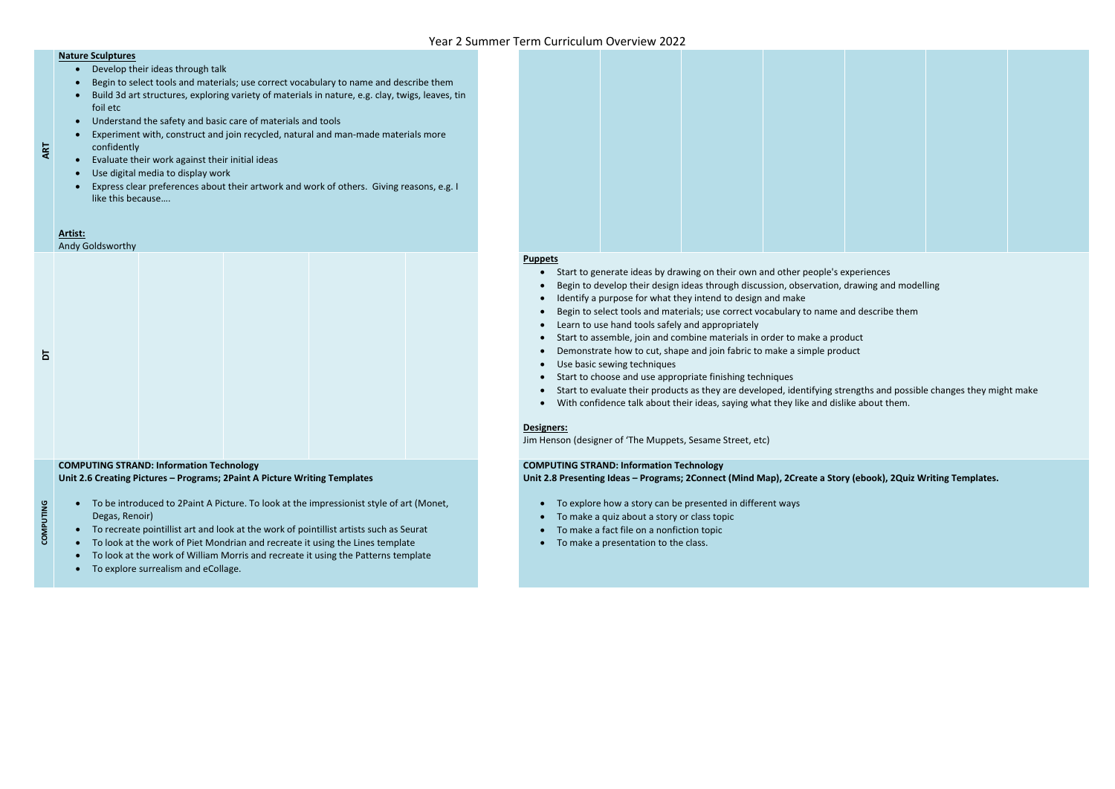**ART**

#### **Nature Sculptures**

- Develop their ideas through talk
- Begin to select tools and materials; use correct vocabulary to name and describe them
- Build 3d art structures, exploring variety of materials in nature, e.g. clay, twigs, leaves, tin foil etc
- Understand the safety and basic care of materials and tools
- Experiment with, construct and join recycled, natural and man-made materials more confidently
- Evaluate their work against their initial ideas
- Use digital media to display work
- Express clear preferences about their artwork and work of others. Giving reasons, e.g. I like this because….

#### **Artist:**

Andy Goldsworthy

#### **Puppets**

- To be introduced to 2Paint A Picture. To look at the impressionist style of art (Monet, Degas, Renoir)
- To recreate pointillist art and look at the work of pointillist artists such as Seurat
- To look at the work of Piet Mondrian and recreate it using the Lines template
- To look at the work of William Morris and recreate it using the Patterns template
- To explore surrealism and eCollage.

- Start to generate ideas by drawing on their own and other people's experiences
- Begin to develop their design ideas through discussion, observation, drawing and modelling
- Identify a purpose for what they intend to design and make
- Begin to select tools and materials; use correct vocabulary to name and describe them
- Learn to use hand tools safely and appropriately
- Start to assemble, join and combine materials in order to make a product
- Demonstrate how to cut, shape and join fabric to make a simple product
- Use basic sewing techniques
- Start to choose and use appropriate finishing techniques
- Start to evaluate their products as they are developed, identifying strengths and possible changes they might make
- With confidence talk about their ideas, saying what they like and dislike about them.

- To explore how a story can be presented in different ways
- To make a quiz about a story or class topic
- To make a fact file on a nonfiction topic
- To make a presentation to the class.





#### **Designers:**

Jim Henson (designer of 'The Muppets, Sesame Street, etc)

**COMPUTING**

**Unit 2.6 Creating Pictures – Programs; 2Paint A Picture Writing Templates** 

#### **COMPUTING STRAND: Information Technology Unit 2.8 Presenting Ideas – Programs; 2Connect (Mind Map), 2Create a Story (ebook), 2Quiz Writing Templates.**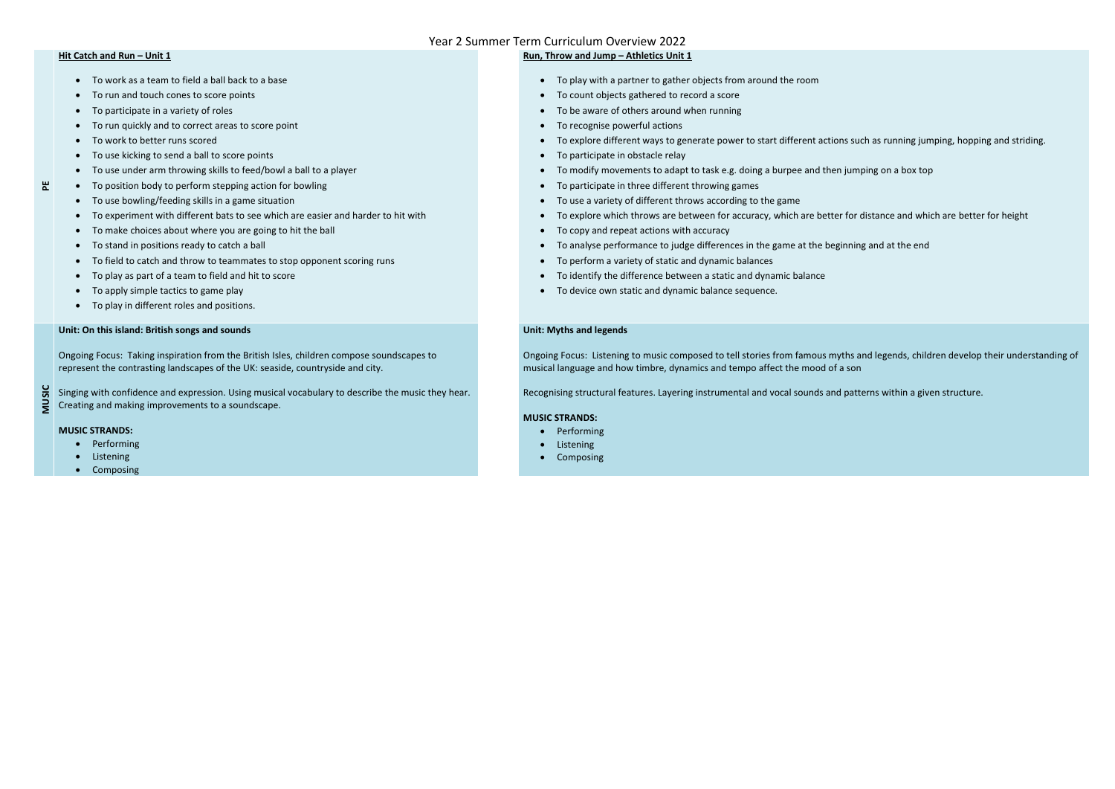#### **Hit Catch and Run - Unit 1**

**PE**

- To work as a team to field a ball back to a base
- To run and touch cones to score points
- To participate in a variety of roles
- To run quickly and to correct areas to score point
- To work to better runs scored
- To use kicking to send a ball to score points
- To use under arm throwing skills to feed/bowl a ball to a player
- To position body to perform stepping action for bowling
- To use bowling/feeding skills in a game situation
- To experiment with different bats to see which are easier and harder to hit with
- To make choices about where you are going to hit the ball
- To stand in positions ready to catch a ball
- To field to catch and throw to teammates to stop opponent scoring runs
- To play as part of a team to field and hit to score
- To apply simple tactics to game play
- To play in different roles and positions.

#### **Run, Throw and Jump – Athletics Unit 1**

- To play with a partner to gather objects from around the room
- To count objects gathered to record a score
- To be aware of others around when running
- To recognise powerful actions
- To explore different ways to generate power to start different actions such as running jumping, hopping and striding.
- To participate in obstacle relay
- To modify movements to adapt to task e.g. doing a burpee and then jumping on a box top
- To participate in three different throwing games
- To use a variety of different throws according to the game
- To explore which throws are between for accuracy, which are better for distance and which are better for height
- To copy and repeat actions with accuracy
- To analyse performance to judge differences in the game at the beginning and at the end
- To perform a variety of static and dynamic balances
- To identify the difference between a static and dynamic balance
- To device own static and dynamic balance sequence.

#### **Unit: On this island: British songs and sounds**

Ongoing Focus: Taking inspiration from the British Isles, children compose soundscapes to represent the contrasting landscapes of the UK: seaside, countryside and city.

**MUSIC** Singing with confidence and expression. Using musical vocabulary to describe the music they hear. Creating and making improvements to a soundscape.

#### **MUSIC STRANDS:**

- Performing
- Listening
- Composing

#### **Unit: Myths and legends**

Ongoing Focus: Listening to music composed to tell stories from famous myths and legends, children develop their understanding of musical language and how timbre, dynamics and tempo affect the mood of a son

Recognising structural features. Layering instrumental and vocal sounds and patterns within a given structure.

#### **MUSIC STRANDS:**

- Performing
- **•** Listening
- Composing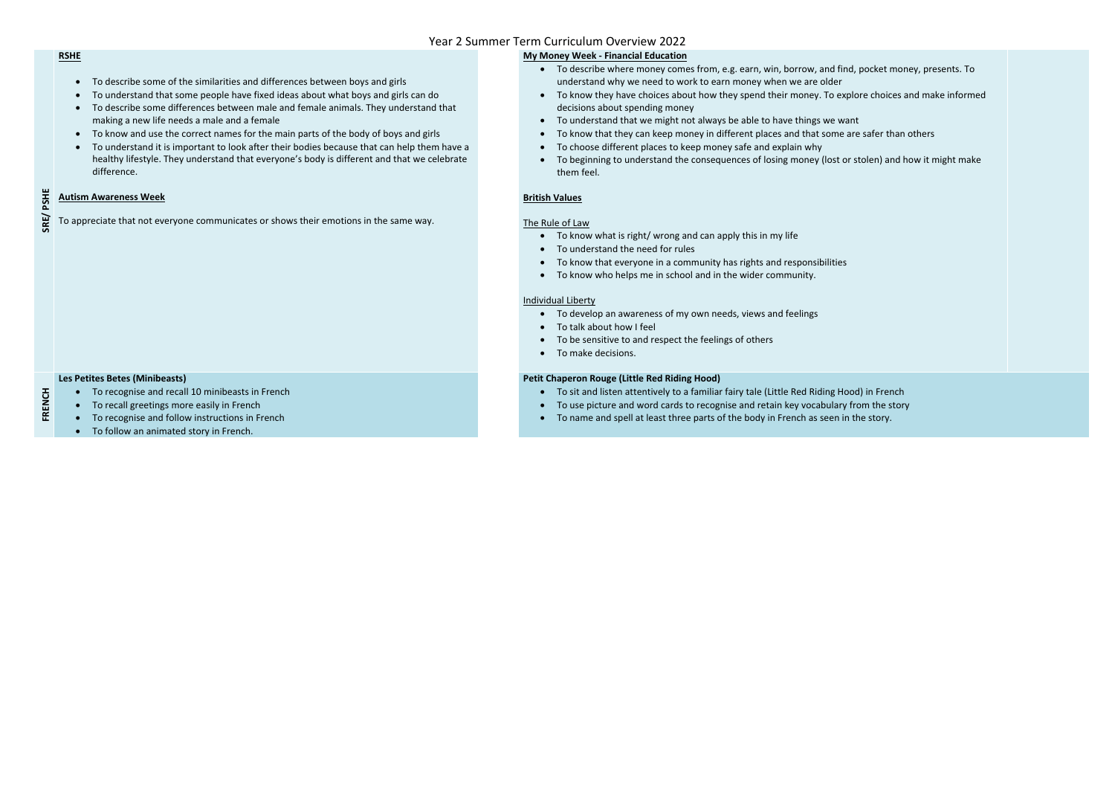**SRE/ PSHE**

#### **RSHE**

- To describe some of the similarities and differences between boys and girls
- To understand that some people have fixed ideas about what boys and girls can do
- To describe some differences between male and female animals. They understand that making a new life needs a male and a female
- To know and use the correct names for the main parts of the body of boys and girls
- To understand it is important to look after their bodies because that can help them have a healthy lifestyle. They understand that everyone's body is different and that we celebrate difference.

#### **Autism Awareness Week**

To appreciate that not everyone communicates or shows their emotions in the same way.

## **My Money Week - Financial Education**

- To develop an awareness of my own needs, views and feelings
- To talk about how I feel
- To be sensitive to and respect the feelings of others
- To make decisions.

- To recognise and recall 10 minibeasts in French
- To recall greetings more easily in French
- To recognise and follow instructions in French
- To follow an animated story in French.
- To describe where money comes from, e.g. earn, win, borrow, and find, pocket money, presents. To understand why we need to work to earn money when we are older
- To know they have choices about how they spend their money. To explore choices and make informed decisions about spending money
- To understand that we might not always be able to have things we want
- To know that they can keep money in different places and that some are safer than others
- To choose different places to keep money safe and explain why
- To beginning to understand the consequences of losing money (lost or stolen) and how it might make them feel.

## **British Values**

#### The Rule of Law

- To know what is right/ wrong and can apply this in my life
- To understand the need for rules
- To know that everyone in a community has rights and responsibilities
- To know who helps me in school and in the wider community.

#### Individual Liberty

**FRENCH**

#### **Les Petites Betes (Minibeasts)**

#### **Petit Chaperon Rouge (Little Red Riding Hood)**

- To sit and listen attentively to a familiar fairy tale (Little Red Riding Hood) in French
- To use picture and word cards to recognise and retain key vocabulary from the story
- To name and spell at least three parts of the body in French as seen in the story.